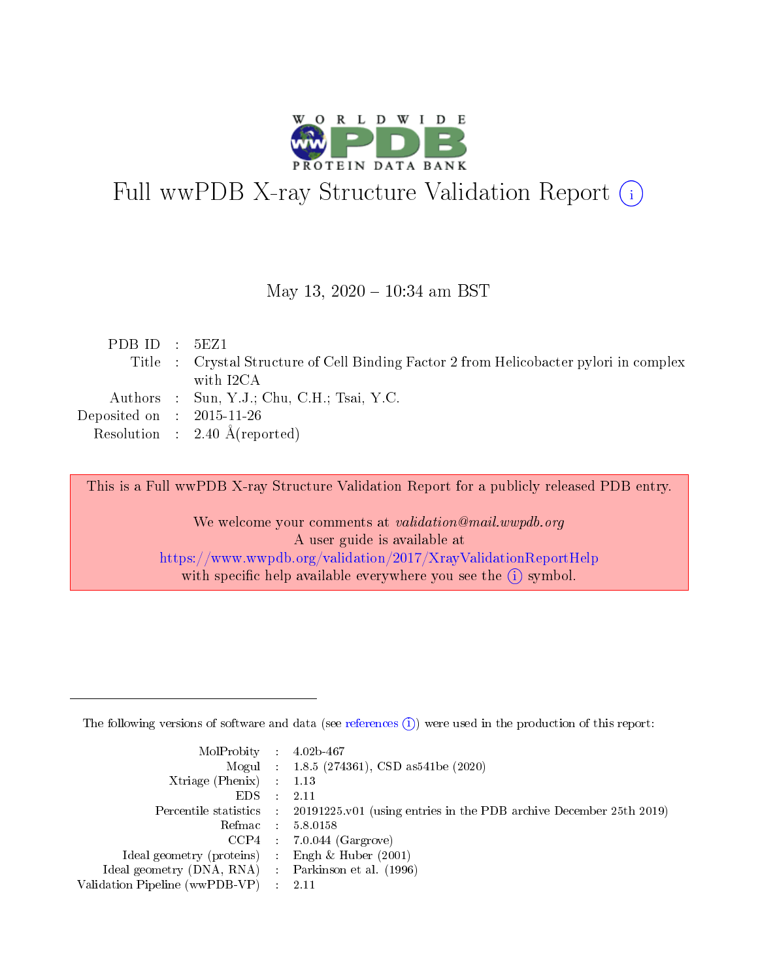

# Full wwPDB X-ray Structure Validation Report (i)

#### May 13,  $2020 - 10:34$  am BST

| PDBID : 5EZ1                |                                                                                        |
|-----------------------------|----------------------------------------------------------------------------------------|
|                             | Title : Crystal Structure of Cell Binding Factor 2 from Helicobacter pylori in complex |
|                             | with I2CA                                                                              |
|                             | Authors : Sun, Y.J.; Chu, C.H.; Tsai, Y.C.                                             |
| Deposited on : $2015-11-26$ |                                                                                        |
|                             | Resolution : $2.40 \text{ Å}$ (reported)                                               |

This is a Full wwPDB X-ray Structure Validation Report for a publicly released PDB entry.

We welcome your comments at validation@mail.wwpdb.org A user guide is available at <https://www.wwpdb.org/validation/2017/XrayValidationReportHelp> with specific help available everywhere you see the  $(i)$  symbol.

The following versions of software and data (see [references](https://www.wwpdb.org/validation/2017/XrayValidationReportHelp#references)  $(1)$ ) were used in the production of this report:

| $MolProbability$ 4.02b-467                          |               |                                                                                            |
|-----------------------------------------------------|---------------|--------------------------------------------------------------------------------------------|
|                                                     |               | Mogul : $1.8.5$ (274361), CSD as 541be (2020)                                              |
| Xtriage (Phenix) $: 1.13$                           |               |                                                                                            |
| EDS.                                                | $\mathcal{L}$ | -2.11                                                                                      |
|                                                     |               | Percentile statistics : 20191225.v01 (using entries in the PDB archive December 25th 2019) |
|                                                     |               | Refmac $5.8.0158$                                                                          |
| CCP4                                                |               | $7.0.044$ (Gargrove)                                                                       |
| Ideal geometry (proteins)                           | $\sim$        | Engh $\&$ Huber (2001)                                                                     |
| Ideal geometry (DNA, RNA) : Parkinson et al. (1996) |               |                                                                                            |
| Validation Pipeline (wwPDB-VP) : 2.11               |               |                                                                                            |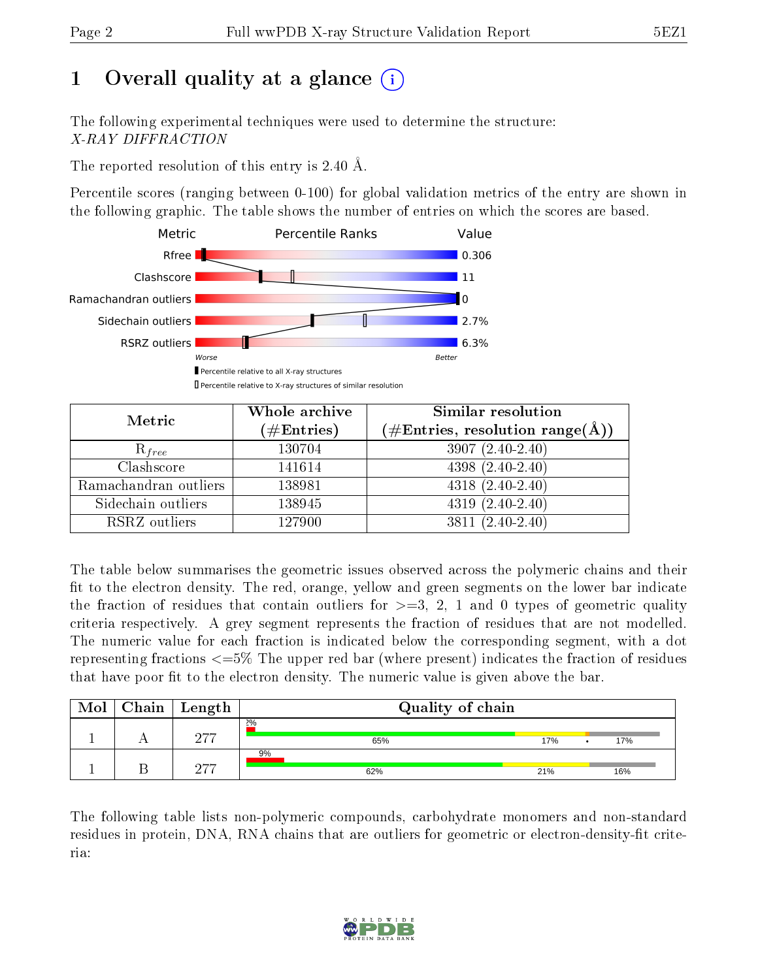## 1 [O](https://www.wwpdb.org/validation/2017/XrayValidationReportHelp#overall_quality)verall quality at a glance (i)

The following experimental techniques were used to determine the structure: X-RAY DIFFRACTION

The reported resolution of this entry is 2.40 Å.

Percentile scores (ranging between 0-100) for global validation metrics of the entry are shown in the following graphic. The table shows the number of entries on which the scores are based.



| Metric                | Whole archive<br>$(\#\text{Entries})$ | Similar resolution<br>$(\#\text{Entries},\,\text{resolution}\,\,\text{range}(\textup{\AA}))$ |
|-----------------------|---------------------------------------|----------------------------------------------------------------------------------------------|
| $R_{free}$            | 130704                                | $3907(2.40-2.40)$                                                                            |
| Clashscore            | 141614                                | $4398(2.40-2.40)$                                                                            |
| Ramachandran outliers | 138981                                | $4318 (2.40 - 2.40)$                                                                         |
| Sidechain outliers    | 138945                                | $4319(2.40-2.40)$                                                                            |
| RSRZ outliers         | 127900                                | $3811 (2.40 - 2.40)$                                                                         |

The table below summarises the geometric issues observed across the polymeric chains and their fit to the electron density. The red, orange, yellow and green segments on the lower bar indicate the fraction of residues that contain outliers for  $>=3, 2, 1$  and 0 types of geometric quality criteria respectively. A grey segment represents the fraction of residues that are not modelled. The numeric value for each fraction is indicated below the corresponding segment, with a dot representing fractions <=5% The upper red bar (where present) indicates the fraction of residues that have poor fit to the electron density. The numeric value is given above the bar.

| Mol | ${\rm Chain \mid Length}$ | Quality of chain |     |  |     |  |  |  |
|-----|---------------------------|------------------|-----|--|-----|--|--|--|
|     | חהמ                       | 2%<br>65%        | 17% |  | 17% |  |  |  |
|     | 277                       | 9%<br>62%        | 21% |  | 16% |  |  |  |

The following table lists non-polymeric compounds, carbohydrate monomers and non-standard residues in protein, DNA, RNA chains that are outliers for geometric or electron-density-fit criteria:

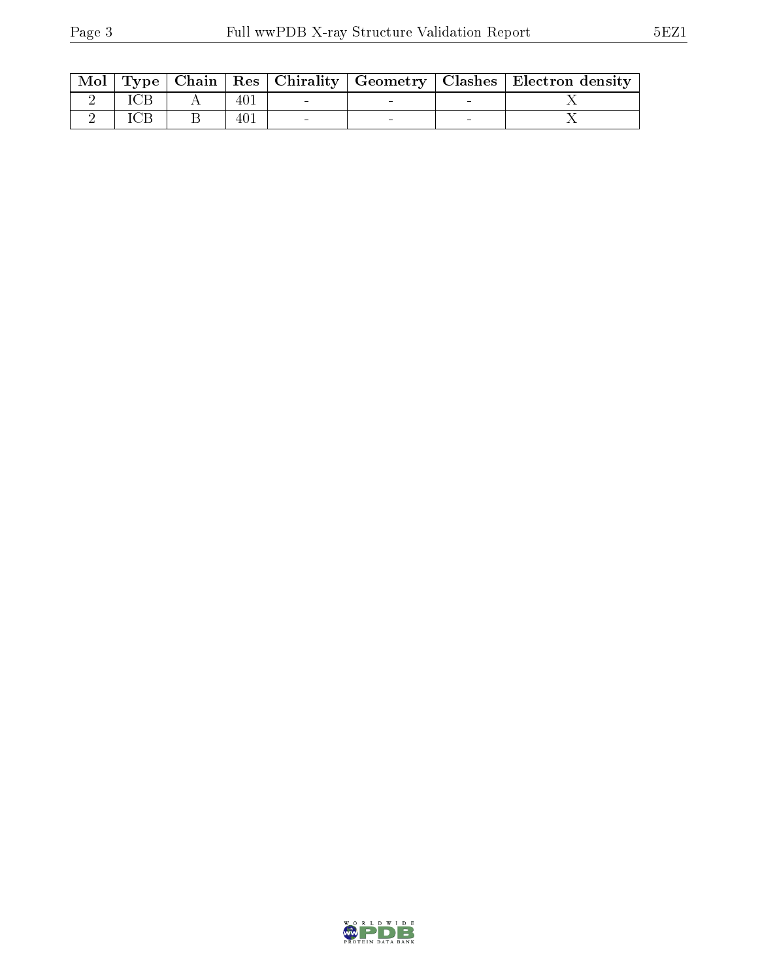|  |     |  | Mol   Type   Chain   Res   Chirality   Geometry   Clashes   Electron density |
|--|-----|--|------------------------------------------------------------------------------|
|  | 401 |  |                                                                              |
|  | 401 |  |                                                                              |

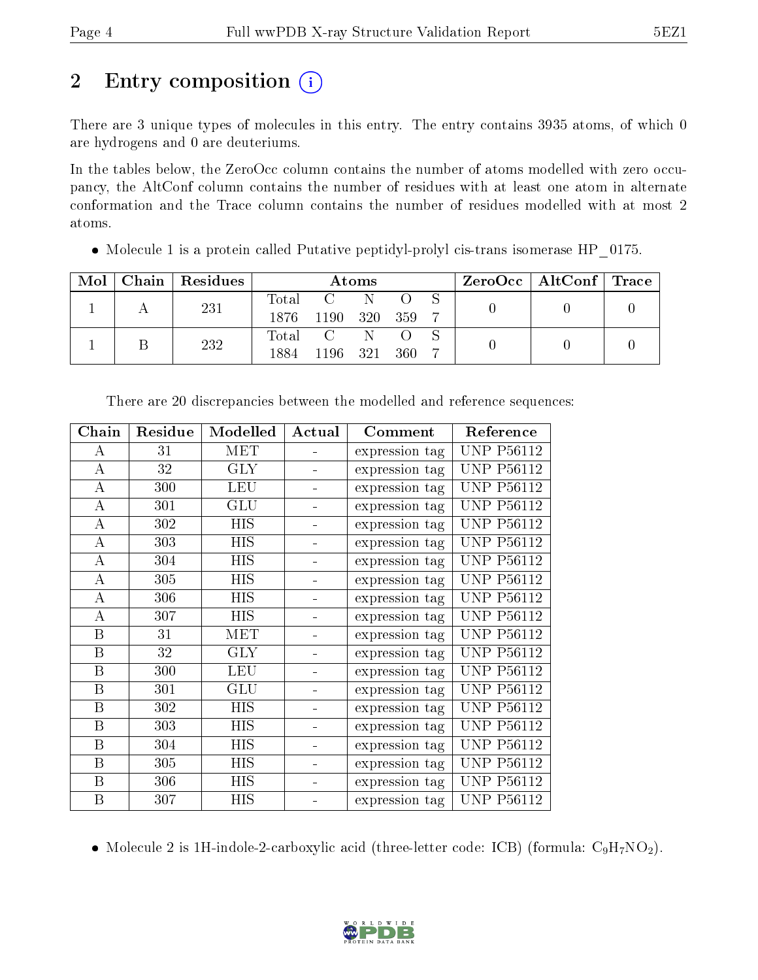## 2 Entry composition  $\left( \cdot \right)$

There are 3 unique types of molecules in this entry. The entry contains 3935 atoms, of which 0 are hydrogens and 0 are deuteriums.

In the tables below, the ZeroOcc column contains the number of atoms modelled with zero occupancy, the AltConf column contains the number of residues with at least one atom in alternate conformation and the Trace column contains the number of residues modelled with at most 2 atoms.

• Molecule 1 is a protein called Putative peptidyl-prolyl cis-trans isomerase HP 0175.

| Mol |  | $\mid$ Chain $\mid$ Residues | Atoms            |              |              |  |  |  | $\rm ZeroOcc$   AltConf   Trace |  |
|-----|--|------------------------------|------------------|--------------|--------------|--|--|--|---------------------------------|--|
|     |  | 231                          | $\mathrm{Total}$ | $C =$        | $\mathbb{N}$ |  |  |  |                                 |  |
|     |  |                              | 1876             | 1190 320 359 |              |  |  |  |                                 |  |
|     |  | 232                          |                  | Total C      | N.           |  |  |  |                                 |  |
|     |  |                              | 1884             | 1196 321 360 |              |  |  |  |                                 |  |

| ${\bf Chain}$    | Residue | Modelled   | Actual | Comment        | Reference         |
|------------------|---------|------------|--------|----------------|-------------------|
| A                | 31      | <b>MET</b> |        | expression tag | <b>UNP P56112</b> |
| $\bf{A}$         | 32      | <b>GLY</b> |        | expression tag | <b>UNP P56112</b> |
| $\boldsymbol{A}$ | 300     | <b>LEU</b> |        | expression tag | <b>UNP P56112</b> |
| $\bf{A}$         | 301     | <b>GLU</b> |        | expression tag | <b>UNP P56112</b> |
| $\boldsymbol{A}$ | 302     | <b>HIS</b> |        | expression tag | <b>UNP P56112</b> |
| $\boldsymbol{A}$ | 303     | HIS        |        | expression tag | <b>UNP P56112</b> |
| $\bf{A}$         | 304     | <b>HIS</b> |        | expression tag | <b>UNP P56112</b> |
| $\boldsymbol{A}$ | 305     | <b>HIS</b> |        | expression tag | <b>UNP P56112</b> |
| $\bf{A}$         | 306     | <b>HIS</b> |        | expression tag | <b>UNP P56112</b> |
| $\boldsymbol{A}$ | 307     | <b>HIS</b> |        | expression tag | <b>UNP P56112</b> |
| $\boldsymbol{B}$ | 31      | MET        |        | expression tag | <b>UNP P56112</b> |
| $\boldsymbol{B}$ | 32      | <b>GLY</b> |        | expression tag | <b>UNP P56112</b> |
| B                | 300     | <b>LEU</b> |        | expression tag | <b>UNP P56112</b> |
| B                | 301     | <b>GLU</b> |        | expression tag | <b>UNP P56112</b> |
| B                | 302     | HIS        |        | expression tag | <b>UNP P56112</b> |
| B                | 303     | HIS        |        | expression tag | UNP P56112        |
| B                | 304     | HIS        |        | expression tag | <b>UNP P56112</b> |
| B                | 305     | HIS        |        | expression tag | <b>UNP P56112</b> |
| $\, {\bf B}$     | 306     | <b>HIS</b> |        | expression tag | <b>UNP P56112</b> |
| B                | 307     | HIS        |        | expression tag | <b>UNP P56112</b> |

There are 20 discrepancies between the modelled and reference sequences:

• Molecule 2 is 1H-indole-2-carboxylic acid (three-letter code: ICB) (formula:  $C_9H_7NO_2$ ).

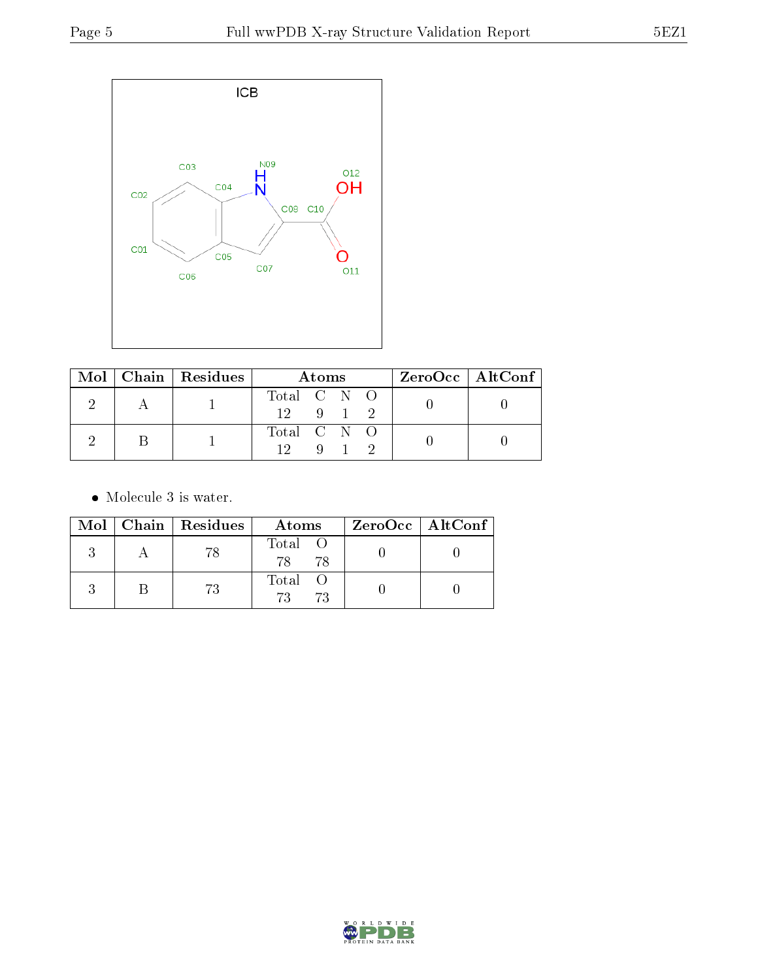

|  | Mol   Chain   Residues | Atoms                                    |  |             |  | $ZeroOcc \   \$ AltConf |
|--|------------------------|------------------------------------------|--|-------------|--|-------------------------|
|  |                        | Total $C \tN \tO$<br>$12 \t 9 \t 1 \t 2$ |  |             |  |                         |
|  |                        | Total C N O                              |  | $9 \quad 1$ |  |                         |

• Molecule 3 is water.

|  | Mol   Chain   Residues | Atoms                | $ZeroOcc$   AltConf |
|--|------------------------|----------------------|---------------------|
|  | 78                     | Total O<br>78<br>-78 |                     |
|  | 73                     | Total<br>73<br>-73   |                     |

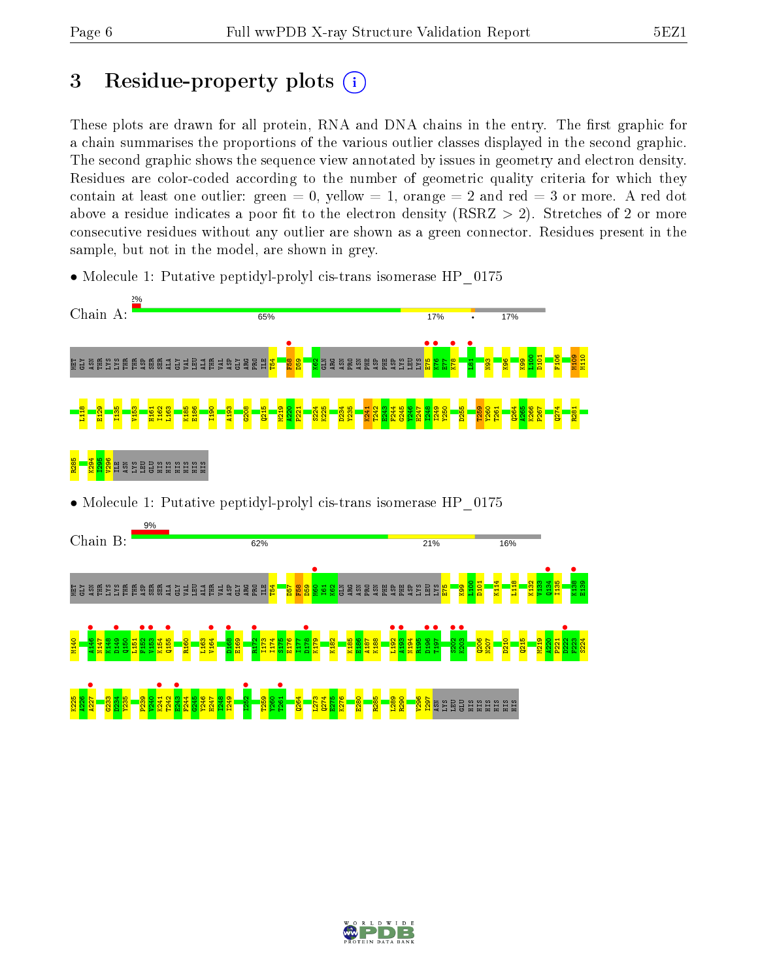M109 M110

R281

### 3 Residue-property plots  $(i)$

These plots are drawn for all protein, RNA and DNA chains in the entry. The first graphic for a chain summarises the proportions of the various outlier classes displayed in the second graphic. The second graphic shows the sequence view annotated by issues in geometry and electron density. Residues are color-coded according to the number of geometric quality criteria for which they contain at least one outlier: green  $= 0$ , yellow  $= 1$ , orange  $= 2$  and red  $= 3$  or more. A red dot above a residue indicates a poor fit to the electron density (RSRZ  $> 2$ ). Stretches of 2 or more consecutive residues without any outlier are shown as a green connector. Residues present in the sample, but not in the model, are shown in grey.

- Chain A: 65% 17% 17% F58 • E75 • K76 • K78 •  $\frac{1}{2}$  $\frac{100}{11}$ D101 F106 MET GLY ASN THR LYS LYS THR THR ASP SER SER ALA GLY VAL LEU ALA THR VAL ASP GLY ARG PRO  $\Xi^ \frac{154}{2}$  $\frac{8}{2}$  $\frac{82}{2}$ GLN ARG ASN PRO ASN PHE ASP PHE ASP LYS LEU LYS  $\mathbb{E}$ N93  $\frac{8}{8}$  $\frac{8}{2}$ L118 E129 I135 V153 H161 I162 L163 K185 E186 I190 A193 G208  $215$ M219  $\frac{220}{2}$ P221 S224 K225 D234 Y235 K241 T242 E243 F244 G245 Y246 H247 I248 I249 Y250 D255 T259 Y260 T261  $264$ A265 K266 P267  $274$ R285 K294 I295 V296 H ŠIB BLU U U U U U U U U U U U U U • Molecule 1: Putative peptidyl-prolyl cis-trans isomerase HP\_0175  $Q0/$ Chain B: 62% 21% 16%
- Molecule 1: Putative peptidyl-prolyl cis-trans isomerase HP 0175



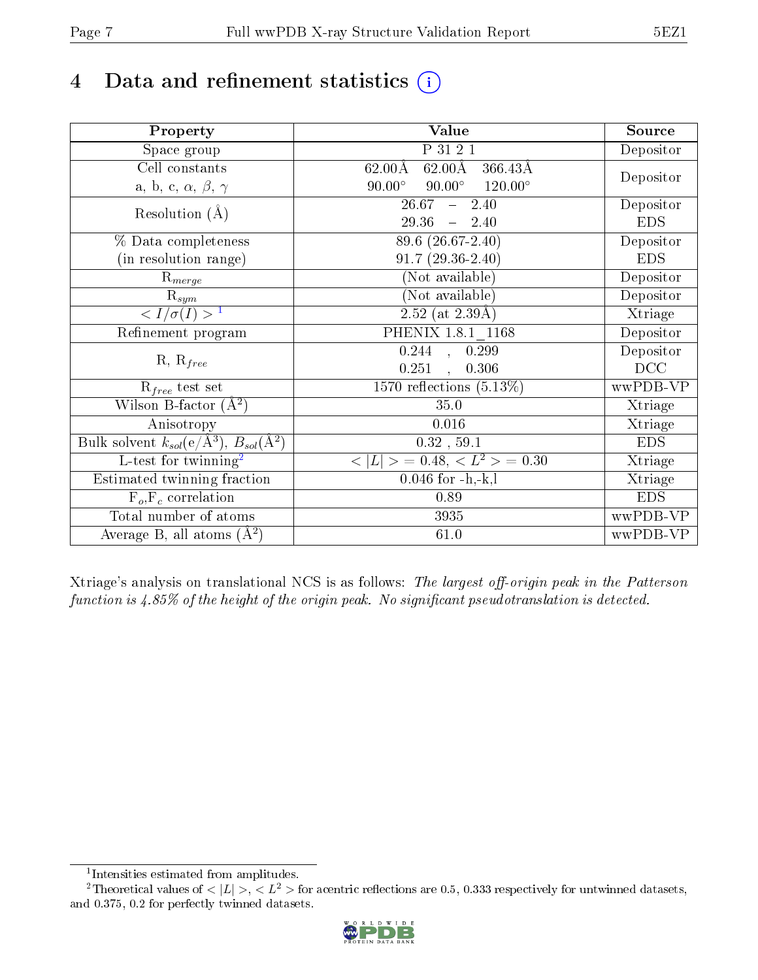## 4 Data and refinement statistics  $(i)$

| Property                                                   | <b>Value</b>                                                 | Source     |
|------------------------------------------------------------|--------------------------------------------------------------|------------|
| Space group                                                | P 31 2 1                                                     | Depositor  |
| Cell constants                                             | $62.00\text{\AA}$<br>$366.43\text{\AA}$<br>$62.00\text{\AA}$ |            |
| a, b, c, $\alpha$ , $\beta$ , $\gamma$                     | $90.00^\circ$<br>$120.00^\circ$<br>$90.00^\circ$             | Depositor  |
| Resolution $(A)$                                           | 26.67<br>2.40<br>$\frac{1}{2}$                               | Depositor  |
|                                                            | 29.36<br>$-2.40$                                             | <b>EDS</b> |
| % Data completeness                                        | 89.6 (26.67-2.40)                                            | Depositor  |
| (in resolution range)                                      | $91.7(29.36-2.40)$                                           | <b>EDS</b> |
| $R_{merge}$                                                | (Not available)                                              | Depositor  |
| $\mathrm{R}_{sym}$                                         | (Not available)                                              | Depositor  |
| $\langle I/\sigma(I) \rangle^{-1}$                         | $\overline{2.52}$ (at 2.39Å)                                 | Xtriage    |
| Refinement program                                         | PHENIX 1.8.1 1168                                            | Depositor  |
|                                                            | $0.244$ , $0.299$                                            | Depositor  |
| $R, R_{free}$                                              | 0.251<br>0.306<br>$\mathbf{A}$                               | DCC        |
| $R_{free}$ test set                                        | 1570 reflections $(5.13\%)$                                  | wwPDB-VP   |
| Wilson B-factor $(A^2)$                                    | 35.0                                                         | Xtriage    |
| Anisotropy                                                 | 0.016                                                        | Xtriage    |
| Bulk solvent $k_{sol}$ (e/Å <sup>3</sup> ), $B_{sol}(A^2)$ | $0.32$ , 59.1                                                | <b>EDS</b> |
| $\overline{L}$ -test for twinning <sup>2</sup>             | $< L >$ = 0.48, $< L2$ = 0.30                                | Xtriage    |
| Estimated twinning fraction                                | $0.046$ for $-h,-k,l$                                        | Xtriage    |
| $F_o, F_c$ correlation                                     | 0.89                                                         | <b>EDS</b> |
| Total number of atoms                                      | 3935                                                         | wwPDB-VP   |
| Average B, all atoms $(A^2)$                               | 61.0                                                         | wwPDB-VP   |

Xtriage's analysis on translational NCS is as follows: The largest off-origin peak in the Patterson function is  $4.85\%$  of the height of the origin peak. No significant pseudotranslation is detected.

<sup>&</sup>lt;sup>2</sup>Theoretical values of  $\langle |L| \rangle$ ,  $\langle L^2 \rangle$  for acentric reflections are 0.5, 0.333 respectively for untwinned datasets, and 0.375, 0.2 for perfectly twinned datasets.



<span id="page-6-1"></span><span id="page-6-0"></span><sup>1</sup> Intensities estimated from amplitudes.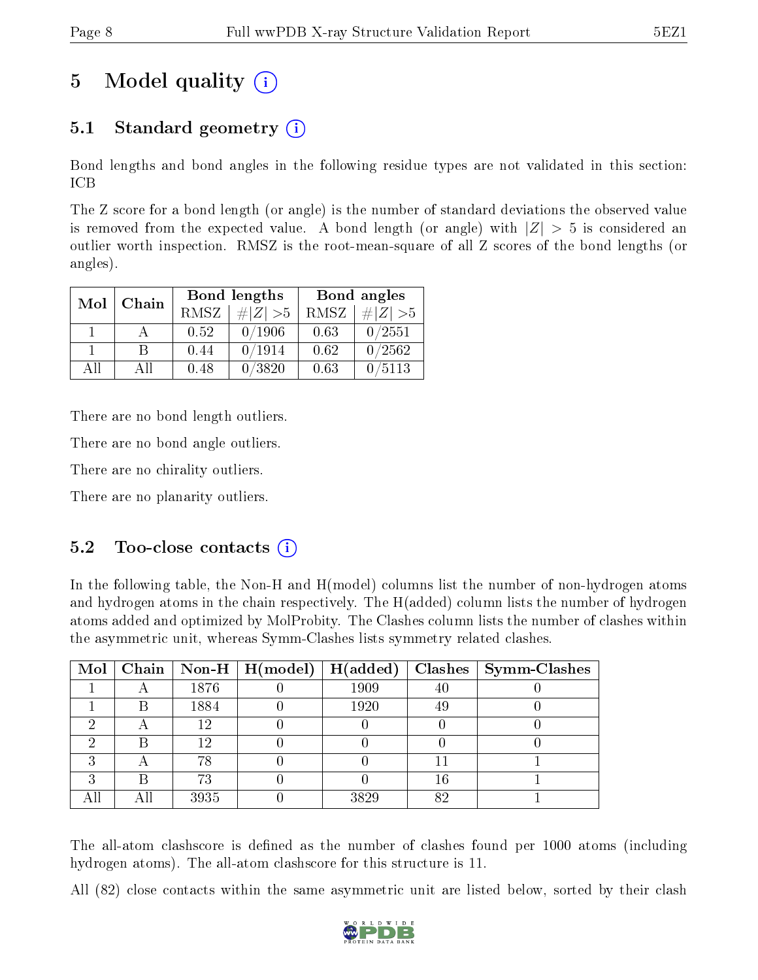### 5 Model quality  $(i)$

### 5.1 Standard geometry (i)

Bond lengths and bond angles in the following residue types are not validated in this section: ICB

The Z score for a bond length (or angle) is the number of standard deviations the observed value is removed from the expected value. A bond length (or angle) with  $|Z| > 5$  is considered an outlier worth inspection. RMSZ is the root-mean-square of all Z scores of the bond lengths (or angles).

| Mol | Chain |      | Bond lengths | Bond angles |                 |  |
|-----|-------|------|--------------|-------------|-----------------|--|
|     |       | RMSZ | $\# Z  > 5$  | RMSZ        | $\# Z  > 5$     |  |
|     |       | 0.52 | 0/1906       | 0.63        | 0/2551          |  |
|     | R     | 0.44 | 0/1914       | 0.62        | $\sqrt{0/2562}$ |  |
| ΔH  | Аll   | 0.48 | 0/3820       | 0.63        | 0/5113          |  |

There are no bond length outliers.

There are no bond angle outliers.

There are no chirality outliers.

There are no planarity outliers.

#### $5.2$  Too-close contacts  $(i)$

In the following table, the Non-H and H(model) columns list the number of non-hydrogen atoms and hydrogen atoms in the chain respectively. The H(added) column lists the number of hydrogen atoms added and optimized by MolProbity. The Clashes column lists the number of clashes within the asymmetric unit, whereas Symm-Clashes lists symmetry related clashes.

|   |     |      | Mol   Chain   Non-H   H(model)   H(added) |      |    | $Clashes$   Symm-Clashes |
|---|-----|------|-------------------------------------------|------|----|--------------------------|
|   |     | 1876 |                                           | 1909 | 40 |                          |
|   | B   | 1884 |                                           | 1920 | 49 |                          |
| ച |     | 12   |                                           |      |    |                          |
|   | R   | 12   |                                           |      |    |                          |
| ົ |     | 78   |                                           |      |    |                          |
| ົ | B   | 73   |                                           |      | 16 |                          |
|   | Αll | 3935 |                                           | 3829 | 82 |                          |

The all-atom clashscore is defined as the number of clashes found per 1000 atoms (including hydrogen atoms). The all-atom clashscore for this structure is 11.

All (82) close contacts within the same asymmetric unit are listed below, sorted by their clash

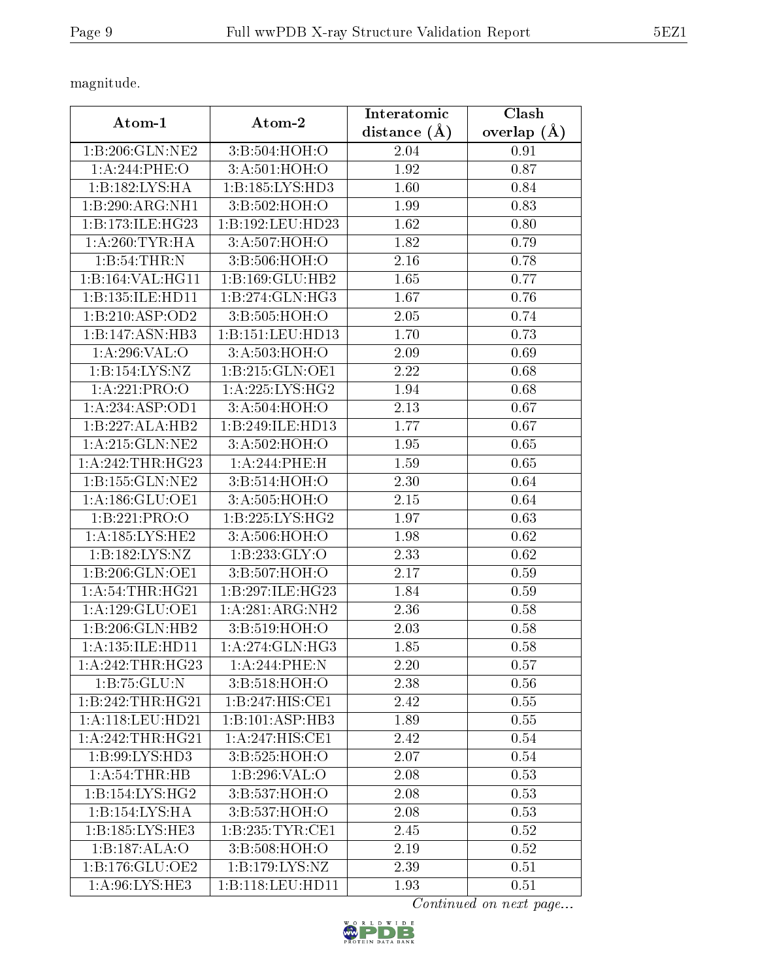magnitude.

| Atom-1               | Atom-2                       | Interatomic       | Clash         |
|----------------------|------------------------------|-------------------|---------------|
|                      |                              | distance $(A)$    | overlap $(A)$ |
| 1:B:206:GLN:NE2      | 3:B:504:HOH:O                | 2.04              | 0.91          |
| 1:A:244:PHE:O        | 3:A:501:HOH:O                | 1.92              | 0.87          |
| 1:B:182:LYS:HA       | 1:B:185:LYS:HD3              | 1.60              | 0.84          |
| 1:B:290:ARG:NH1      | 3:B:502:HOH:O                | 1.99              | 0.83          |
| 1:B:173:ILE:HG23     | 1:B:192:LEU:HD23             | 1.62              | 0.80          |
| 1: A:260:TYR:HA      | 3: A:507:HOH:O               | 1.82              | 0.79          |
| 1:B:54:THR:N         | 3:B:506:HOH:O                | 2.16              | 0.78          |
| 1:B:164:VAL:HG11     | 1:B:169:GLU:HB2              | 1.65              | 0.77          |
| 1:B:135:ILE:HD11     | 1: B: 274: GLN: HG3          | 1.67              | 0.76          |
| 1:B:210:ASP:OD2      | 3:B:505:HOH:O                | 2.05              | 0.74          |
| 1:B:147:ASN:HB3      | 1:B:151:LEU:HD13             | 1.70              | 0.73          |
| 1: A:296: VAL:O      | 3:A:503:HOH:O                | 2.09              | 0.69          |
| 1:B:154:LYS:NZ       | 1:B:215:GLN:OE1              | 2.22              | 0.68          |
| 1:A:221:PRO:O        | 1: A:225: LYS: HG2           | 1.94              | 0.68          |
| 1:A:234:ASP:OD1      | 3:A:504:HOH:O                | 2.13              | 0.67          |
| 1:B:227:ALA:HB2      | 1:B:249:ILE:HD13             | 1.77              | 0.67          |
| 1:A:215:GLN:NE2      | 3: A:502: HOH:O              | 1.95              | 0.65          |
| 1:A:242:THR:HG23     | 1: A:244:PHE: H              | 1.59              | 0.65          |
| 1:B:155:GLN:NE2      | 3:B:514:HOH:O                | 2.30              | 0.64          |
| 1:A:186:GLU:OE1      | 3:A:505:HOH:O                | 2.15              | 0.64          |
| 1:B:221:PRO:O        | 1: B: 225: LYS: HG2          | 1.97              | 0.63          |
| 1: A: 185: LYS: HE2  | 3:A:506:HOH:O                | 1.98              | 0.62          |
| 1: B: 182: LYS: NZ   | $1:B:233:\overline{GLY:O}$   | 2.33              | 0.62          |
| 1:B:206:GLN:OE1      | 3:B:507:HOH:O                | 2.17              | 0.59          |
| 1: A:54:THR:HG21     | 1:B:297:ILE:HG23             | 1.84              | 0.59          |
| 1:A:129:GLU:OE1      | 1:A:281:ARG:NH2              | 2.36              | 0.58          |
| 1:B:206:GLN:HB2      | $3: B:519: \overline{HOH:O}$ | 2.03              | 0.58          |
| 1: A: 135: ILE: HD11 | 1: A:274: GLN: HG3           | 1.85              | 0.58          |
| 1: A:242:THR:HG23    | 1:A:244:PHE:N                | 2.20              | 0.57          |
| 1:B:75:GLU:N         | 3:B:518:HOH:O                | 2.38              | 0.56          |
| 1:B:242:THR:HG21     | 1:B:247:HIS:CE1              | 2.42              | 0.55          |
| 1: A:118: LEU: HD21  | 1:B:101:ASP:HB3              | 1.89              | 0.55          |
| 1:A:242:THR:HG21     | 1:A:247:HIS:CE1              | 2.42              | 0.54          |
| 1:B:99:LYS:HD3       | 3:B:525:HOH:O                | 2.07              | 0.54          |
| 1: A:54:THR:HB       | 1:B:296:VAL:O                | $2.\overline{08}$ | 0.53          |
| 1:B:154:LYS:HG2      | 3:B:537:HOH:O                | 2.08              | 0.53          |
| 1:B:154:LYS:HA       | 3:B:537:HOH:O                | 2.08              | 0.53          |
| 1: B: 185: LYS: HE3  | 1: B: 235: TYR: CE1          | 2.45              | 0.52          |
| 1:B:187:ALA:O        | 3:B:508:HOH:O                | 2.19              | 0.52          |
| 1: B: 176: GLU: OE2  | 1: B: 179: LYS: NZ           | 2.39              | 0.51          |
| 1: A:96: LYS: HE3    | 1:B:118:LEU:HD11             | 1.93              | 0.51          |

Continued on next page...

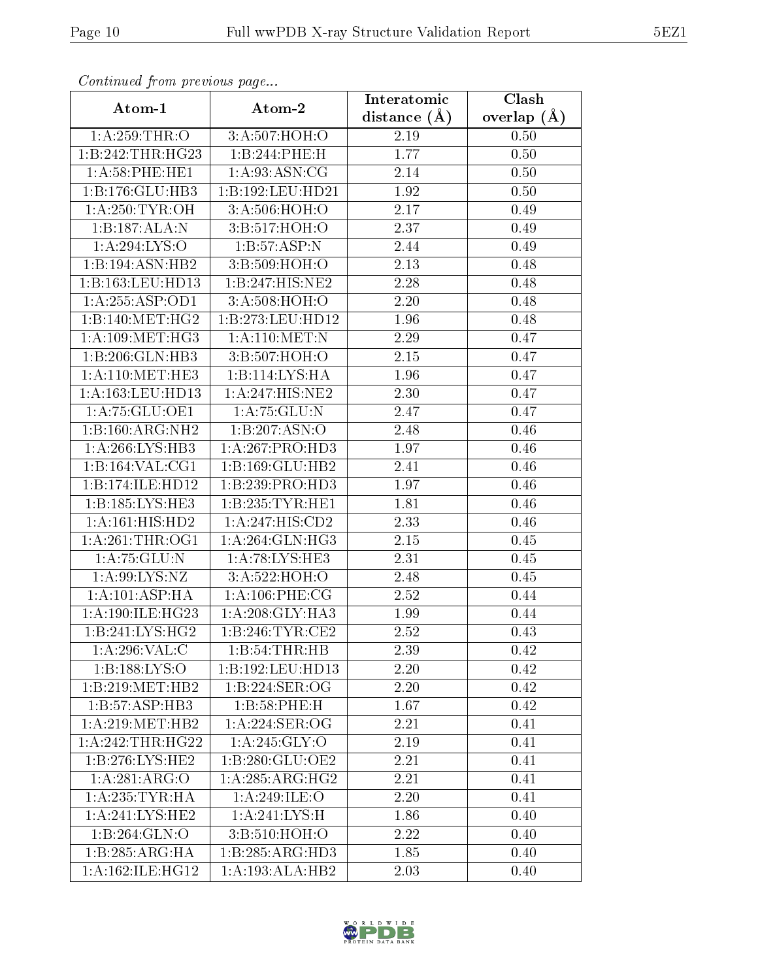| Continuati pont previous page |                                | Interatomic       | Clash           |
|-------------------------------|--------------------------------|-------------------|-----------------|
| Atom-1                        | Atom-2                         | distance $(A)$    | overlap $(\AA)$ |
| 1: A:259:THR:O                | 3:A:507:HOH:O                  | 2.19              | 0.50            |
| 1:B:242:THR:HG23              | 1:B:244:PHE:H                  | 1.77              | 0.50            |
| 1: A:58: PHE: HE1             | 1: A:93: ASN: CG               | $2.14\,$          | 0.50            |
| 1:B:176:GLU:HB3               | 1:B:192:LEU:HD21               | 1.92              | 0.50            |
| 1: A:250:TYR:OH               | 3:A:506:HOH:O                  | 2.17              | 0.49            |
| 1:B:187:ALA:N                 | 3:B:517:HOH:O                  | 2.37              | 0.49            |
| 1:A:294:LYS:O                 | 1:B:57:ASP:N                   | 2.44              | 0.49            |
| 1:B:194:ASN:HB2               | 3:B:509:HOH:O                  | 2.13              | 0.48            |
| 1:B:163:LEU:HD13              | 1:B:247:HIS:NE2                | 2.28              | 0.48            |
| 1:A:255:ASP:OD1               | 3:A:508:HOH:O                  | 2.20              | 0.48            |
| 1:B:140:MET:HG2               | 1:B:273:LEU:HD12               | 1.96              | 0.48            |
| 1: A:109: MET:HG3             | 1: A:110:MET:N                 | 2.29              | 0.47            |
| 1:B:206:GLN:HB3               | 3:B:507:HOH:O                  | 2.15              | 0.47            |
| 1: A:110:MET:HE3              | 1:B:114:LYS:HA                 | 1.96              | 0.47            |
| 1:A:163:LEU:HD13              | 1:A:247:HIS:NE2                | 2.30              | 0.47            |
| 1:A:75:GLU:OE1                | 1: A: 75: GLU: N               | 2.47              | 0.47            |
| 1:B:160:ARG:NH2               | 1:B:207:ASN:O                  | 2.48              | 0.46            |
| 1: A:266: LYS:HB3             | 1:A:267:PRO:HD3                | 1.97              | 0.46            |
| 1:B:164:VAL:CG1               | 1:B:169:GLU:HB2                | 2.41              | 0.46            |
| 1:B:174:ILE:HD12              | 1:B:239:PRO:HD3                | 1.97              | 0.46            |
| 1:B:185:LYS:HE3               | 1:B:235:TYR:HE1                | 1.81              | 0.46            |
| $1:A:161:\overline{HIS:HD2}$  | $1:A:247:\overline{HIS:CD2}$   | 2.33              | 0.46            |
| 1: A:261:THR:OG1              | 1: A:264: GLN: HG3             | 2.15              | 0.45            |
| 1: A: 75: GLU: N              | 1: A:78: LYS: HE3              | $\overline{2}.31$ | 0.45            |
| 1: A:99: LYS: NZ              | 3:A:522:HOH:O                  | 2.48              | 0.45            |
| 1: A: 101: ASP: HA            | $1: A:106:$ PHE:CG             | 2.52              | 0.44            |
| 1:A:190:ILE:HG23              | 1: A:208: GLY:HA3              | 1.99              | 0.44            |
| 1:B:241:LYS:HG2               | 1:B:246:TYR:CE2                | 2.52              | 0.43            |
| 1:A:296:VAL:CC                | 1:B:54:THR:HB                  | 2.39              | 0.42            |
| 1:B:188:LYS:O                 | 1:B:192:LEU:HD13               | 2.20              | 0.42            |
| 1:B:219:MET:HB2               | 1:B:224:SER:OG                 | 2.20              | 0.42            |
| 1:B:57:ASP:HB3                | 1:B:58:PHE:H                   | 1.67              | 0.42            |
| 1: A:219:MET:HB2              | 1:A:224:SER:OG                 | 2.21              | 0.41            |
| 1:A:242:THR:HG22              | 1:A:245:GLY:O                  | 2.19              | 0.41            |
| 1:B:276:LYS:HE2               | $1: B:280: GLU:O\overline{E2}$ | 2.21              | 0.41            |
| 1:A:281:ARG:O                 | 1:A:285:ARG:HG2                | 2.21              | 0.41            |
| 1: A: 235: TYR: HA            | 1:A:249:ILE:O                  | 2.20              | 0.41            |
| 1:A:241:LYS:HE2               | 1: A:241:LYS:H                 | 1.86              | 0.40            |
| 1:B:264:GLN:O                 | 3: B:510: HOH:O                | 2.22              | 0.40            |
| 1:B:285:ARG:HA                | 1:B:285:ARG:HD3                | 1.85              | 0.40            |
| 1: A:162: ILE: HG12           | 1:A:193:ALA:HB2                | 2.03              | 0.40            |

Continued from previous page.

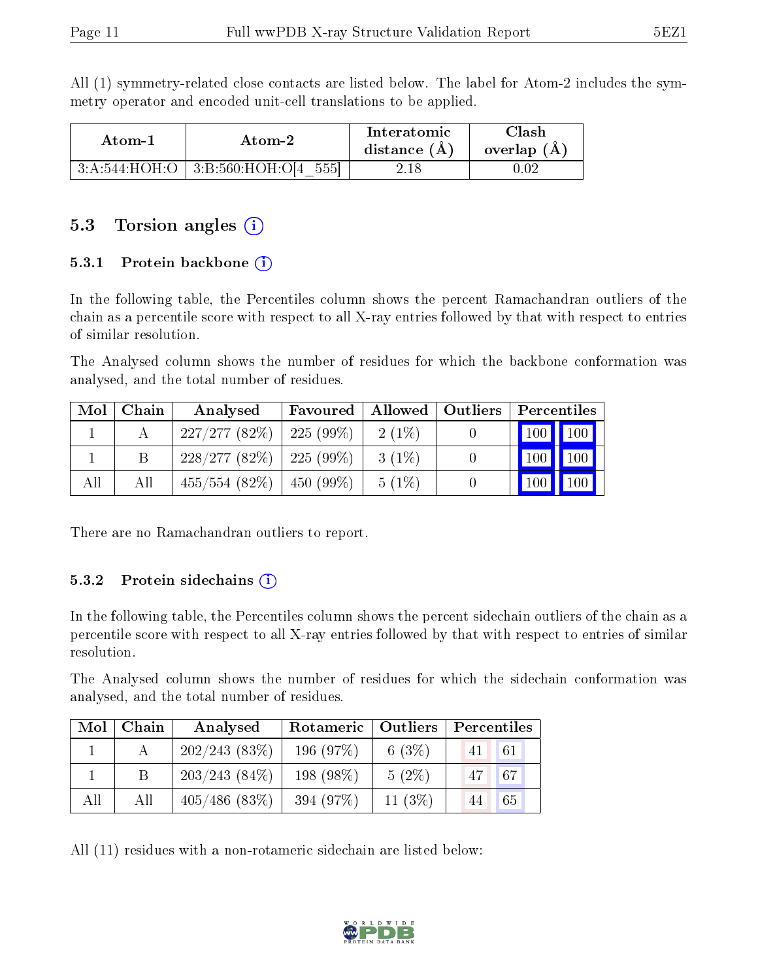All (1) symmetry-related close contacts are listed below. The label for Atom-2 includes the symmetry operator and encoded unit-cell translations to be applied.

| Atom-1 | Atom-2                                   | Interatomic<br>distance $(A)$ | Clash<br>overlap $(A)$ |
|--------|------------------------------------------|-------------------------------|------------------------|
|        | $3:A:544:HOH:O$   $3:B:560:HOH:O[4 555]$ | 2.18                          | 0.02                   |

#### 5.3 Torsion angles  $(i)$

#### 5.3.1 Protein backbone  $(i)$

In the following table, the Percentiles column shows the percent Ramachandran outliers of the chain as a percentile score with respect to all X-ray entries followed by that with respect to entries of similar resolution.

The Analysed column shows the number of residues for which the backbone conformation was analysed, and the total number of residues.

| Mol | Chain | Analysed                      | Favoured |          | Allowed   Outliers | Percentiles             |
|-----|-------|-------------------------------|----------|----------|--------------------|-------------------------|
|     |       | $227/277(82\%)$   225 (99\%)  |          | $2(1\%)$ |                    | 100 100                 |
|     |       | $228/277(82\%)$   225 (99\%)  |          | $3(1\%)$ |                    | 100<br>$\vert$ 100      |
| All | All   | $455/554$ (82\%)   450 (99\%) |          | 5(1%)    |                    | 100<br>100 <sub>h</sub> |

There are no Ramachandran outliers to report.

#### 5.3.2 Protein sidechains  $(i)$

In the following table, the Percentiles column shows the percent sidechain outliers of the chain as a percentile score with respect to all X-ray entries followed by that with respect to entries of similar resolution.

The Analysed column shows the number of residues for which the sidechain conformation was analysed, and the total number of residues.

| Mol | Chain | Analysed         | Rotameric   Outliers |          | Percentiles |
|-----|-------|------------------|----------------------|----------|-------------|
|     |       | 202/243(83%)     | 196(97%)             | 6 $(3%)$ | 61<br>41 L  |
|     |       | $203/243(84\%)$  | $198(98\%)$          | $5(2\%)$ | 67 <br>47   |
| All | All   | $405/486$ (83\%) | 394 (97%)            | 11(3%)   | 65<br>44    |

All (11) residues with a non-rotameric sidechain are listed below:

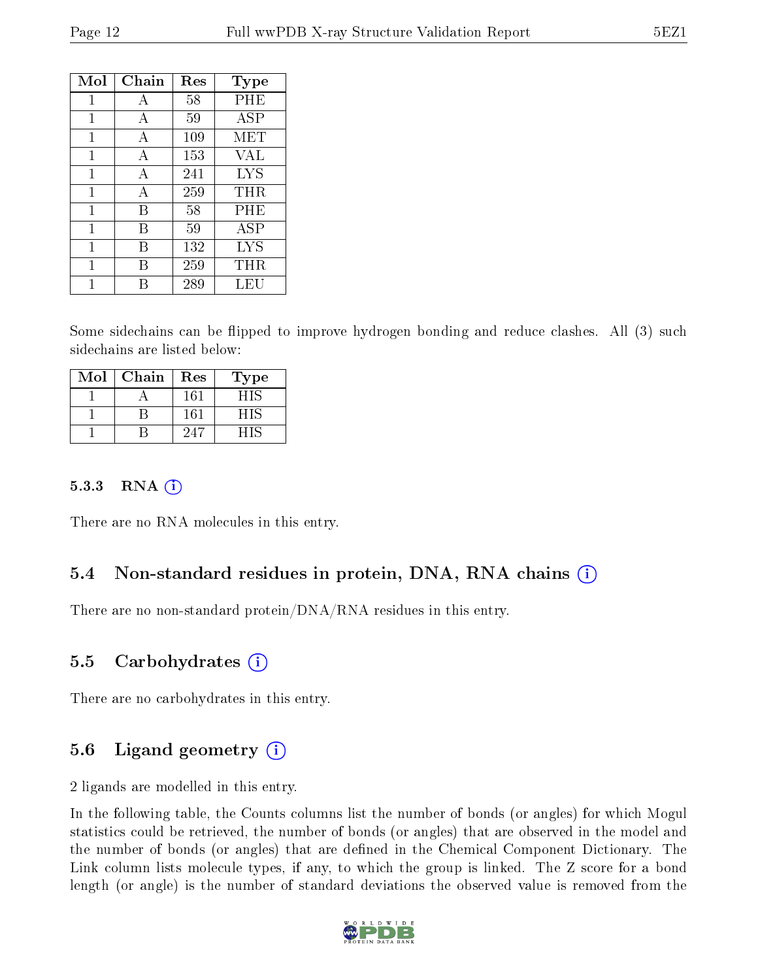| Mol | Chain | Res | <b>Type</b> |
|-----|-------|-----|-------------|
| 1   | A     | 58  | PHE         |
| 1   | A     | 59  | <b>ASP</b>  |
| 1   | A     | 109 | MET         |
| 1   | A     | 153 | VAL         |
| 1   | A     | 241 | LYS         |
| 1   | A     | 259 | THR         |
| 1   | В     | 58  | PHE         |
| 1   | В     | 59  | ASP         |
| 1   | В     | 132 | <b>LYS</b>  |
| 1   | R     | 259 | $\rm THR$   |
|     |       | 289 | LEU         |

Some sidechains can be flipped to improve hydrogen bonding and reduce clashes. All (3) such sidechains are listed below:

| Mol | Chain | Res | Type |
|-----|-------|-----|------|
|     |       | 161 | HIS  |
|     |       | 161 | - 11 |
|     |       | 94. | - 11 |

#### 5.3.3 RNA  $(i)$

There are no RNA molecules in this entry.

#### 5.4 Non-standard residues in protein, DNA, RNA chains (i)

There are no non-standard protein/DNA/RNA residues in this entry.

#### 5.5 Carbohydrates  $(i)$

There are no carbohydrates in this entry.

#### 5.6 Ligand geometry  $(i)$

2 ligands are modelled in this entry.

In the following table, the Counts columns list the number of bonds (or angles) for which Mogul statistics could be retrieved, the number of bonds (or angles) that are observed in the model and the number of bonds (or angles) that are defined in the Chemical Component Dictionary. The Link column lists molecule types, if any, to which the group is linked. The Z score for a bond length (or angle) is the number of standard deviations the observed value is removed from the

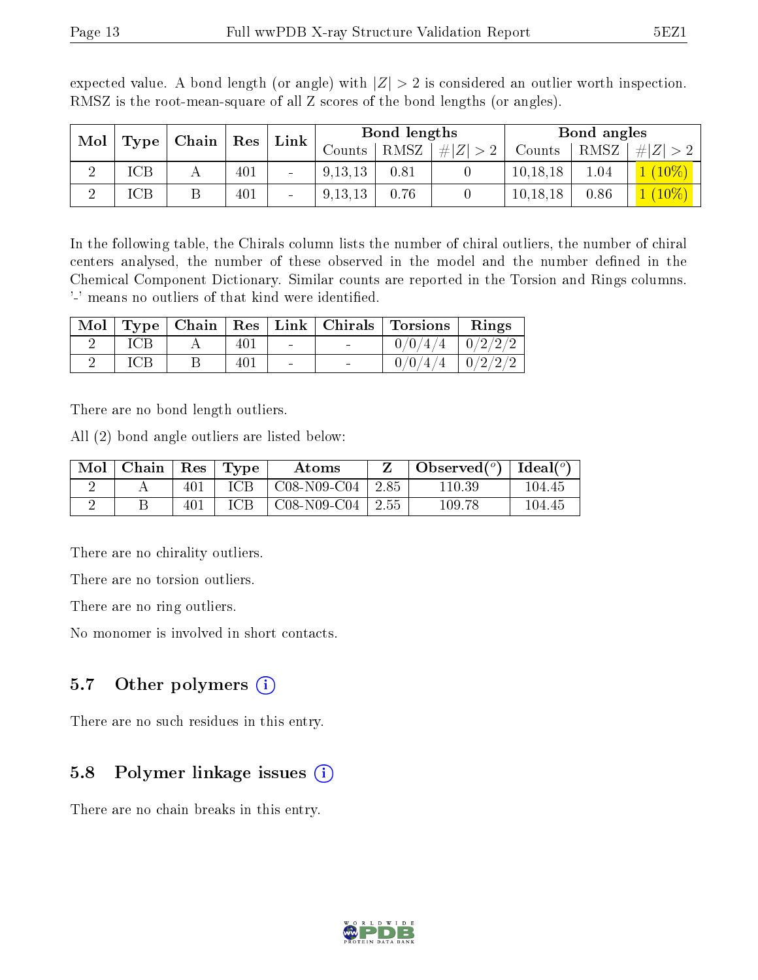| Mol | $\mid$ Chain $\mid$ Res $\mid$ |  | Bond lengths<br>$\lfloor$ Link $\rfloor$ |                          |           | Bond angles  |     |            |      |                |
|-----|--------------------------------|--|------------------------------------------|--------------------------|-----------|--------------|-----|------------|------|----------------|
|     | Type                           |  |                                          |                          | Counts    | $uts$   RMSZ | # Z | Counts     | RMSZ | # Z            |
|     | ICB                            |  | 401                                      | $\overline{\phantom{a}}$ | 9, 13, 13 | 0.81         |     | 10, 18, 18 | 1.04 | $\angle(10\%)$ |
|     | ſСB                            |  | 401                                      | $\blacksquare$           | 9, 13, 13 | 0.76         |     | 10, 18, 18 | 0.86 | $1(10\%)$      |

expected value. A bond length (or angle) with  $|Z| > 2$  is considered an outlier worth inspection. RMSZ is the root-mean-square of all Z scores of the bond lengths (or angles).

In the following table, the Chirals column lists the number of chiral outliers, the number of chiral centers analysed, the number of these observed in the model and the number defined in the Chemical Component Dictionary. Similar counts are reported in the Torsion and Rings columns. '-' means no outliers of that kind were identified.

|     |     |        | Mol   Type   Chain   Res   Link   Chirals   Torsions   Rings |  |
|-----|-----|--------|--------------------------------------------------------------|--|
| ICB | 401 | $\sim$ | $0/0/4/4$   $0/2/2/2$                                        |  |
| ICB | 401 | $\sim$ | $0/0/4/4$   $0/2/2/2$                                        |  |

There are no bond length outliers.

All (2) bond angle outliers are listed below:

| Mol | Chain | $\operatorname{Res}$ | Type       | Atoms          |         | Observed $(°)$ | Ideal $(°)$ |
|-----|-------|----------------------|------------|----------------|---------|----------------|-------------|
|     |       | 401                  | <b>ICB</b> | $C08-N09-C04$  | 2.85    | 110.39         | 104.45      |
|     |       | $40^{1}$             | ICB        | $C$ 08-N09-C04 | $+2.55$ | 109.78         | 104.45      |

There are no chirality outliers.

There are no torsion outliers.

There are no ring outliers.

No monomer is involved in short contacts.

#### 5.7 [O](https://www.wwpdb.org/validation/2017/XrayValidationReportHelp#nonstandard_residues_and_ligands)ther polymers  $(i)$

There are no such residues in this entry.

#### 5.8 Polymer linkage issues  $(i)$

There are no chain breaks in this entry.

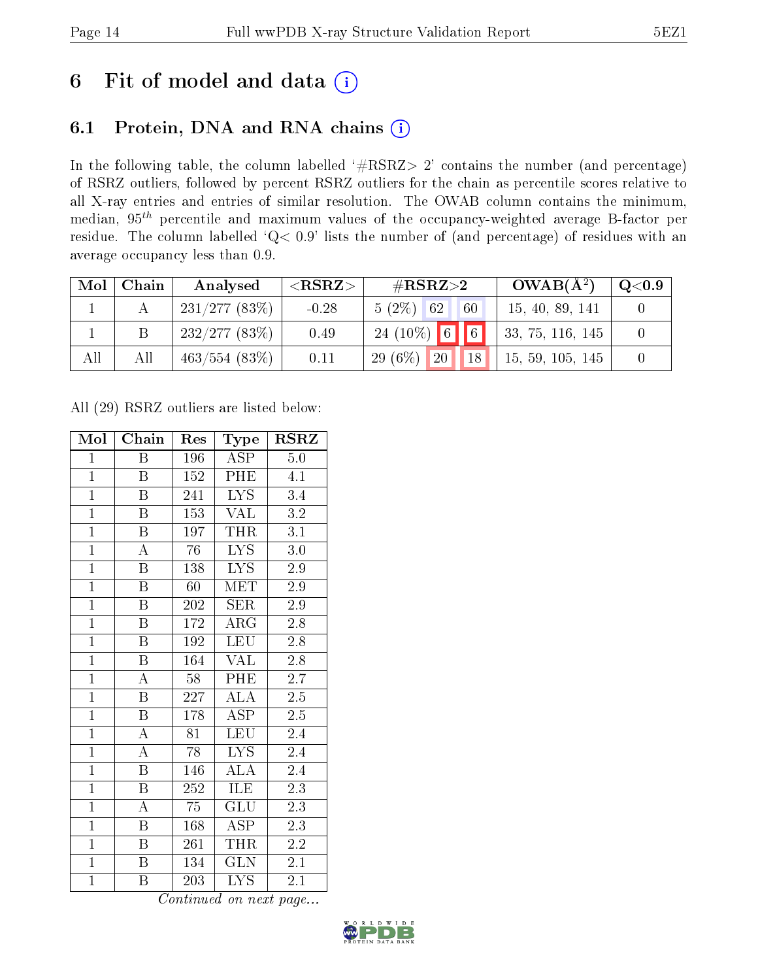### 6 Fit of model and data  $(i)$

### 6.1 Protein, DNA and RNA chains  $(i)$

In the following table, the column labelled  $#RSRZ> 2'$  contains the number (and percentage) of RSRZ outliers, followed by percent RSRZ outliers for the chain as percentile scores relative to all X-ray entries and entries of similar resolution. The OWAB column contains the minimum, median,  $95<sup>th</sup>$  percentile and maximum values of the occupancy-weighted average B-factor per residue. The column labelled ' $Q< 0.9$ ' lists the number of (and percentage) of residues with an average occupancy less than 0.9.

| Mol | Chain | Analysed     | ${ <\hspace{-1.5pt}{\mathrm{RSRZ}} \hspace{-1.5pt}>}$ | # $RSRZ>2$                      | $OWAB(A^2)$       | $\rm Q\textcolor{black}{<}0.9$ |
|-----|-------|--------------|-------------------------------------------------------|---------------------------------|-------------------|--------------------------------|
|     |       | 231/277(83%) | $-0.28$                                               | $5(2\%)$ 62<br>60               | 15, 40, 89, 141   |                                |
|     |       | 232/277(83%) | 0.49                                                  | $24(10\%)$ 6 6                  | 133, 75, 116, 145 |                                |
| All | All   | 463/554(83%) | 0.11                                                  | 29 $(6\%)$<br>$\sqrt{20}$<br>18 | 15, 59, 105, 145  |                                |

All (29) RSRZ outliers are listed below:

| Mol            | Chain                   | Res              | Type                    | $\rm RSRZ$       |
|----------------|-------------------------|------------------|-------------------------|------------------|
| $\mathbf{1}$   | B                       | 196              | ASP                     | 5.0              |
| $\overline{1}$ | B                       | 152              | PHE                     | 4.1              |
| $\overline{1}$ | $\overline{\mathbf{B}}$ | 241              | <b>LYS</b>              | 3.4              |
| $\overline{1}$ | $\boldsymbol{B}$        | 153              | <b>VAL</b>              | 3.2              |
| $\overline{1}$ | $\overline{\mathrm{B}}$ | 197              | THR                     | $\overline{3.1}$ |
| $\overline{1}$ | A                       | 76               | LYS                     | $3.0\,$          |
| $\overline{1}$ | $\boldsymbol{B}$        | 138              | LYS                     | 2.9              |
| $\overline{1}$ | $\overline{\mathbf{B}}$ | 60               | MET                     | 2.9              |
| $\overline{1}$ | $\overline{B}$          | 202              | <b>SER</b>              | 2.9              |
| $\overline{1}$ | $\overline{\mathrm{B}}$ | 172              | $\rm{ARG}$              | 2.8              |
| $\overline{1}$ | $\overline{\mathbf{B}}$ | 192              | <b>LEU</b>              | 2.8              |
| $\overline{1}$ | $\overline{\mathrm{B}}$ | 164              | $\overline{\text{VAL}}$ | $2.8\,$          |
| $\overline{1}$ | $\overline{\rm A}$      | 58               | PHE                     | 2.7              |
| $\overline{1}$ | $\overline{\mathrm{B}}$ | 227              | $\overline{\text{ALA}}$ | 2.5              |
| $\overline{1}$ | $\overline{\mathrm{B}}$ | 178              | <b>ASP</b>              | 2.5              |
| $\mathbf{1}$   | $\overline{\rm A}$      | 81               | LEU                     | 2.4              |
| $\overline{1}$ | $\overline{\rm A}$      | $\overline{78}$  | $\overline{\text{LYS}}$ | 2.4              |
| $\overline{1}$ | $\boldsymbol{B}$        | 146              | $\overline{\rm ALA}$    | 2.4              |
| $\overline{1}$ | $\overline{\mathrm{B}}$ | $\overline{252}$ | ILE                     | $\overline{2.3}$ |
| $\overline{1}$ | $\overline{\rm A}$      | 75               | $\overline{\text{GLU}}$ | $\overline{2.3}$ |
| $\overline{1}$ | $\overline{B}$          | 168              | <b>ASP</b>              | 2.3              |
| $\overline{1}$ | $\boldsymbol{B}$        | 261              | THR                     | $2.\overline{2}$ |
| $\mathbf{1}$   | $\, {\bf B}$            | 134              | <b>GLN</b>              | 2.1              |
| $\mathbf{1}$   | B                       | 203              | $\overline{\text{LYS}}$ | 2.1              |

Continued on next page...